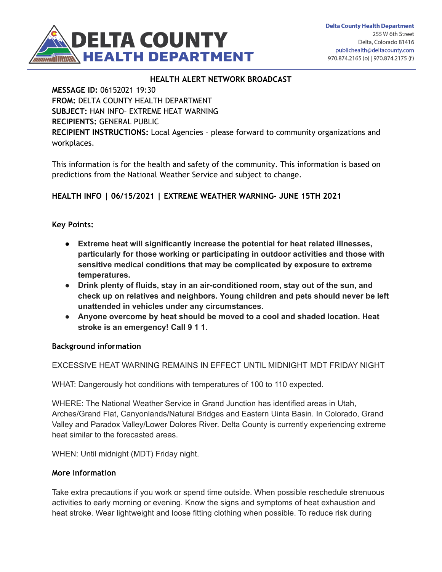

### **HEALTH ALERT NETWORK BROADCAST**

**MESSAGE ID:** 06152021 19:30 **FROM:** DELTA COUNTY HEALTH DEPARTMENT **SUBJECT:** HAN INFO– EXTREME HEAT WARNING **RECIPIENTS:** GENERAL PUBLIC **RECIPIENT INSTRUCTIONS:** Local Agencies – please forward to community organizations and workplaces.

This information is for the health and safety of the community. This information is based on predictions from the National Weather Service and subject to change.

## **HEALTH INFO | 06/15/2021 | EXTREME WEATHER WARNING- JUNE 15TH 2021**

### **Key Points:**

- **● Extreme heat will significantly increase the potential for heat related illnesses, particularly for those working or participating in outdoor activities and those with sensitive medical conditions that may be complicated by exposure to extreme temperatures.**
- **● Drink plenty of fluids, stay in an air-conditioned room, stay out of the sun, and check up on relatives and neighbors. Young children and pets should never be left unattended in vehicles under any circumstances.**
- **● Anyone overcome by heat should be moved to a cool and shaded location. Heat stroke is an emergency! Call 9 1 1.**

#### **Background information**

EXCESSIVE HEAT WARNING REMAINS IN EFFECT UNTIL MIDNIGHT MDT FRIDAY NIGHT

WHAT: Dangerously hot conditions with temperatures of 100 to 110 expected.

WHERE: The National Weather Service in Grand Junction has identified areas in Utah, Arches/Grand Flat, Canyonlands/Natural Bridges and Eastern Uinta Basin. In Colorado, Grand Valley and Paradox Valley/Lower Dolores River. Delta County is currently experiencing extreme heat similar to the forecasted areas.

WHEN: Until midnight (MDT) Friday night.

#### **More Information**

Take extra precautions if you work or spend time outside. When possible reschedule strenuous activities to early morning or evening. Know the signs and symptoms of heat exhaustion and heat stroke. Wear lightweight and loose fitting clothing when possible. To reduce risk during